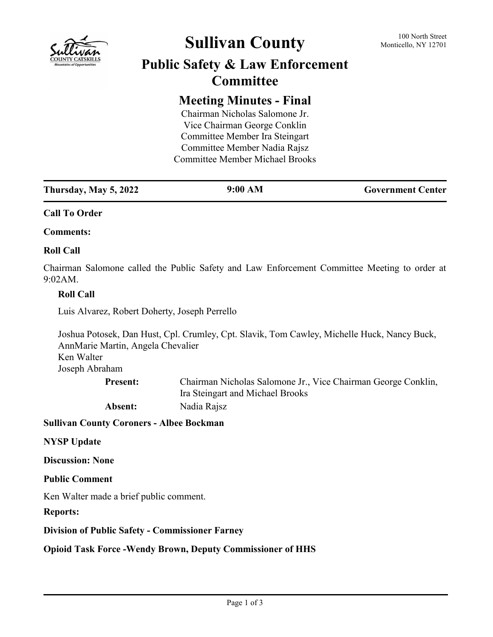

# **Sullivan County** 100 North Street 100 North Street

## **Public Safety & Law Enforcement Committee**

### **Meeting Minutes - Final**

Chairman Nicholas Salomone Jr. Vice Chairman George Conklin Committee Member Ira Steingart Committee Member Nadia Rajsz Committee Member Michael Brooks

#### **Call To Order**

**Comments:**

#### **Roll Call**

Chairman Salomone called the Public Safety and Law Enforcement Committee Meeting to order at 9:02AM.

#### **Roll Call**

Luis Alvarez, Robert Doherty, Joseph Perrello

Joshua Potosek, Dan Hust, Cpl. Crumley, Cpt. Slavik, Tom Cawley, Michelle Huck, Nancy Buck, AnnMarie Martin, Angela Chevalier Ken Walter Joseph Abraham Chairman Nicholas Salomone Jr., Vice Chairman George Conklin, **Present:**

Ira Steingart and Michael Brooks

**Absent:** Nadia Rajsz

**Sullivan County Coroners - Albee Bockman**

#### **NYSP Update**

**Discussion: None**

**Public Comment**

Ken Walter made a brief public comment.

**Reports:**

**Division of Public Safety - Commissioner Farney**

**Opioid Task Force -Wendy Brown, Deputy Commissioner of HHS**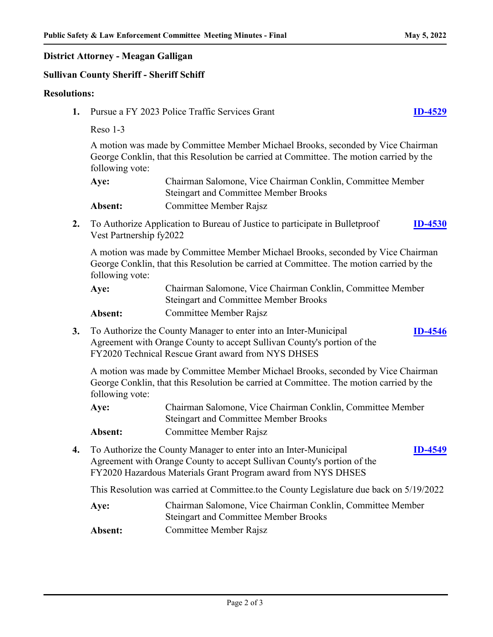**[ID-4546](http://sullivancountyny.legistar.com/gateway.aspx?m=l&id=/matter.aspx?key=1572)**

**[ID-4549](http://sullivancountyny.legistar.com/gateway.aspx?m=l&id=/matter.aspx?key=1575)**

#### **District Attorney - Meagan Galligan**

#### **Sullivan County Sheriff - Sheriff Schiff**

#### **Resolutions:**

- **1.** Pursue a FY 2023 Police Traffic Services Grant **[ID-4529](http://sullivancountyny.legistar.com/gateway.aspx?m=l&id=/matter.aspx?key=1555)**
	- Reso 1-3

A motion was made by Committee Member Michael Brooks, seconded by Vice Chairman George Conklin, that this Resolution be carried at Committee. The motion carried by the following vote:

| Aye:    | Chairman Salomone, Vice Chairman Conklin, Committee Member |
|---------|------------------------------------------------------------|
|         | <b>Steingart and Committee Member Brooks</b>               |
| Absent: | Committee Member Rajsz                                     |

**2.** To Authorize Application to Bureau of Justice to participate in Bulletproof Vest Partnership fy2022 **[ID-4530](http://sullivancountyny.legistar.com/gateway.aspx?m=l&id=/matter.aspx?key=1556)**

A motion was made by Committee Member Michael Brooks, seconded by Vice Chairman George Conklin, that this Resolution be carried at Committee. The motion carried by the following vote:

| Aye:    | Chairman Salomone, Vice Chairman Conklin, Committee Member |
|---------|------------------------------------------------------------|
|         | <b>Steingart and Committee Member Brooks</b>               |
| Absent: | <b>Committee Member Rajsz</b>                              |

**3.** To Authorize the County Manager to enter into an Inter-Municipal Agreement with Orange County to accept Sullivan County's portion of the FY2020 Technical Rescue Grant award from NYS DHSES

A motion was made by Committee Member Michael Brooks, seconded by Vice Chairman George Conklin, that this Resolution be carried at Committee. The motion carried by the following vote:

Chairman Salomone, Vice Chairman Conklin, Committee Member Steingart and Committee Member Brooks **Aye: Absent:** Committee Member Rajsz

**4.** To Authorize the County Manager to enter into an Inter-Municipal Agreement with Orange County to accept Sullivan County's portion of the FY2020 Hazardous Materials Grant Program award from NYS DHSES

This Resolution was carried at Committee.to the County Legislature due back on 5/19/2022

- Chairman Salomone, Vice Chairman Conklin, Committee Member Steingart and Committee Member Brooks **Aye:**
- **Absent:** Committee Member Rajsz